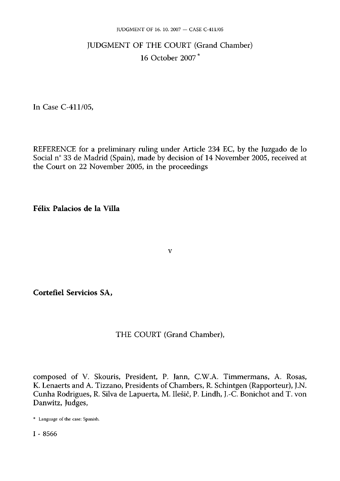# JUDGMENT OF THE COURT (Grand Chamber) 16 October 2007 \*

In Case C-411/05,

REFERENCE for a preliminary ruling under Article 234 EC, by the Juzgado de lo Social n° 33 de Madrid (Spain), made by decision of 14 November 2005, received at the Court on 22 November 2005, in the proceedings

**Félix Palacios de la Villa** 

**Cortefiel Servicios SA,** 

THE COURT (Grand Chamber),

**v** 

composed of V. Skouris, President, P. Jann, C.W.A. Timmermans, A. Rosas, K. Lenaerts and A. Tizzano, Presidents of Chambers, R. Schintgen (Rapporteur), J.N. Cunha Rodrigues, R. Silva de Lapuerta, M. Ilešič, P. Lindh, J.-C. Bonichot and T. von Danwitz, Judges,

<sup>\*</sup> Language of the case: Spanish.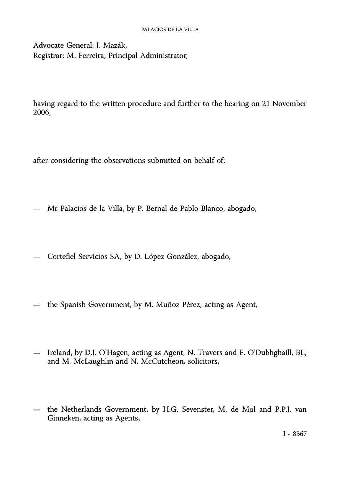Advocate General: J. Mazák, Registrar: M. Ferreira, Principal Administrator,

having regard to the written procedure and further to the hearing on 21 November 2006,

after considering the observations submitted on behalf of:

- Mr Palacios de la Villa, by P. Bernal de Pablo Blanco, abogado,
- Cortefiel Servicios SA, by D. López González, abogado,
- the Spanish Government, by M. Muñoz Pérez, acting as Agent,
- Ireland, by D.J. O'Hagen, acting as Agent, N. Travers and F. O'Dubhghaill, BL, and M. McLaughlin and N. McCutcheon, solicitors,
- the Netherlands Government, by H.G. Sevenster, M. de Mol and P.P.J. van Ginneken, acting as Agents,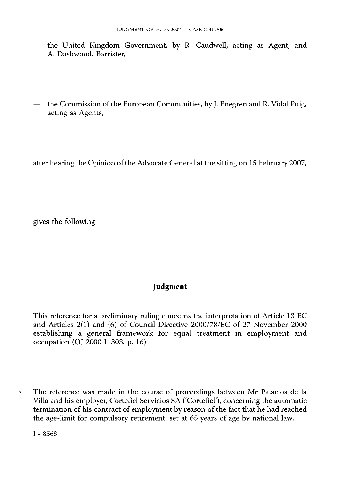- the United Kingdom Government, by R. Caudwell, acting as Agent, and A. Dashwood, Barrister,
- the Commission of the European Communities, by J. Enegren and R. Vidal Puig, acting as Agents,

after hearing the Opinion of the Advocate General at the sitting on 15 February 2007,

gives the following

### **Judgment**

- 1 This reference for a preliminary ruling concerns the interpretation of Article 13 EC and Articles 2(1) and (6) of Council Directive 2000/78/EC of 27 November 2000 establishing a general framework for equal treatment in employment and occupation (OJ 2000 L 303, p. 16).
- 2 The reference was made in the course of proceedings between Mr Palacios de la Villa and his employer, Cortefiel Servicios SA ('Cortefiel'), concerning the automatic termination of his contract of employment by reason of the fact that he had reached the age-limit for compulsory retirement, set at 65 years of age by national law.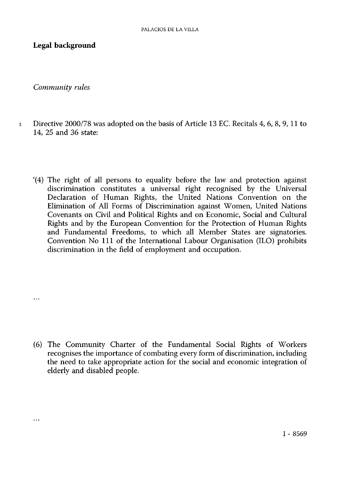**Legal background** 

*Community rules* 

 $\ddotsc$ 

 $\cdots$ 

- 3 Directive 2000/78 was adopted on the basis of Article 13 EC. Recitals 4, 6, 8, 9, 11 to 14, 25 and 36 state:
	- '(4) The right of all persons to equality before the law and protection against discrimination constitutes a universal right recognised by the Universal Declaration of Human Rights, the United Nations Convention on the Elimination of All Forms of Discrimination against Women, United Nations Covenants on Civil and Political Rights and on Economic, Social and Cultural Rights and by the European Convention for the Protection of Human Rights and Fundamental Freedoms, to which all Member States are signatories. Convention No 111 of the International Labour Organisation (ILO) prohibits discrimination in the field of employment and occupation.

(6) The Community Charter of the Fundamental Social Rights of Workers recognises the importance of combating every form of discrimination, including the need to take appropriate action for the social and economic integration of elderly and disabled people.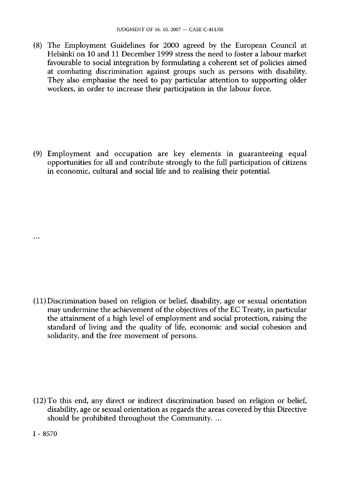(8) The Employment Guidelines for 2000 agreed by the European Council at Helsinki on 10 and 11 December 1999 stress the need to foster a labour market favourable to social integration by formulating a coherent set of policies aimed at combating discrimination against groups such as persons with disability. They also emphasise the need to pay particular attention to supporting older workers, in order to increase their participation in the labour force.

(9) Employment and occupation are key elements in guaranteeing equal opportunities for all and contribute strongly to the full participation of citizens in economic, cultural and social life and to realising their potential.

(11) Discrimination based on religion or belief, disability, age or sexual orientation may undermine the achievement of the objectives of the EC Treaty, in particular the attainment of a high level of employment and social protection, raising the standard of living and the quality of life, economic and social cohesion and solidarity, and the free movement of persons.

(12) To this end, any direct or indirect discrimination based on religion or belief, disability, age or sexual orientation as regards the areas covered by this Directive should be prohibited throughout the Community. ...

I - 8570

 $\ddotsc$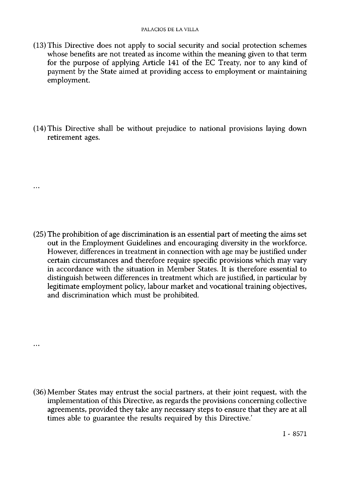- (13) This Directive does not apply to social security and social protection schemes whose benefits are not treated as income within the meaning given to that term for the purpose of applying Article 141 of the EC Treaty, nor to any kind of payment by the State aimed at providing access to employment or maintaining employment.
- (14) This Directive shall be without prejudice to national provisions laying down retirement ages.

 $\ddotsc$ 

 $\ddotsc$ 

(25) The prohibition of age discrimination is an essential part of meeting the aims set out in the Employment Guidelines and encouraging diversity in the workforce. However, differences in treatment in connection with age may be justified under certain circumstances and therefore require specific provisions which may vary in accordance with the situation in Member States. It is therefore essential to distinguish between differences in treatment which are justified, in particular by legitimate employment policy, labour market and vocational training objectives, and discrimination which must be prohibited.

(36) Member States may entrust the social partners, at their joint request, with the implementation of this Directive, as regards the provisions concerning collective agreements, provided they take any necessary steps to ensure that they are at all times able to guarantee the results required by this Directive.'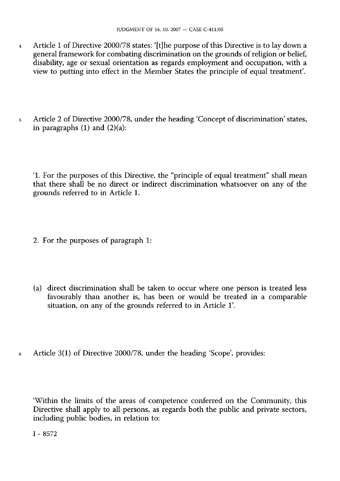- 4 Article 1 of Directive 2000/78 states: '[t]he purpose of this Directive is to lay down a general framework for combating discrimination on the grounds of religion or belief, disability, age or sexual orientation as regards employment and occupation, with a view to putting into effect in the Member States the principle of equal treatment'.
- 5 Article 2 of Directive 2000/78, under the heading 'Concept of discrimination' states, in paragraphs  $(1)$  and  $(2)(a)$ :

'1. For the purposes of this Directive, the "principle of equal treatment" shall mean that there shall be no direct or indirect discrimination whatsoever on any of the grounds referred to in Article 1.

- 2. For the purposes of paragraph 1:
- (a) direct discrimination shall be taken to occur where one person is treated less favourably than another is, has been or would be treated in a comparable situation, on any of the grounds referred to in Article 1'.
- 6 Article 3(1) of Directive 2000/78, under the heading 'Scope', provides:

'Within the limits of the areas of competence conferred on the Community, this Directive shall apply to all persons, as regards both the public and private sectors, including public bodies, in relation to: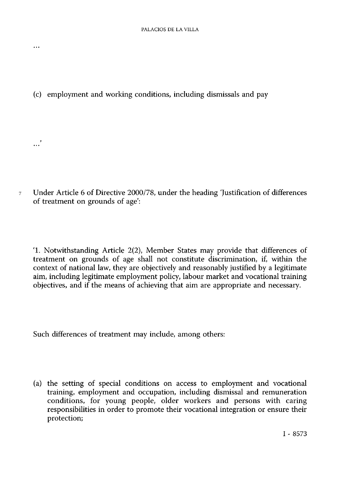(c) employment and working conditions, including dismissals and pay

 $\ldots$ 

. . . "

7 Under Article 6 of Directive 2000/78, under the heading 'Justification of differences of treatment on grounds of age':

' 1 . Notwithstanding Article 2(2), Member States may provide that differences of treatment on grounds of age shall not constitute discrimination, if, within the context of national law, they are objectively and reasonably justified by a legitimate aim, including legitimate employment policy, labour market and vocational training objectives, and if the means of achieving that aim are appropriate and necessary.

Such differences of treatment may include, among others:

(a) the setting of special conditions on access to employment and vocational training, employment and occupation, including dismissal and remuneration conditions, for young people, older workers and persons with caring responsibilities in order to promote their vocational integration or ensure their protection;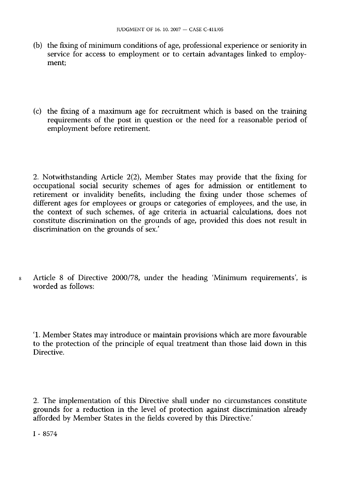- (b) the fixing of minimum conditions of age, professional experience or seniority in service for access to employment or to certain advantages linked to employment;
- (c) the fixing of a maximum age for recruitment which is based on the training requirements of the post in question or the need for a reasonable period of employment before retirement.

2. Notwithstanding Article 2(2), Member States may provide that the fixing for occupational social security schemes of ages for admission or entitlement to retirement or invalidity benefits, including the fixing under those schemes of different ages for employees or groups or categories of employees, and the use, in the context of such schemes, of age criteria in actuarial calculations, does not constitute discrimination on the grounds of age, provided this does not result in discrimination on the grounds of sex.'

8 Article 8 of Directive 2000/78, under the heading 'Minimum requirements', is worded as follows:

'1. Member States may introduce or maintain provisions which are more favourable to the protection of the principle of equal treatment than those laid down in this Directive.

2. The implementation of this Directive shall under no circumstances constitute grounds for a reduction in the level of protection against discrimination already afforded by Member States in the fields covered by this Directive.'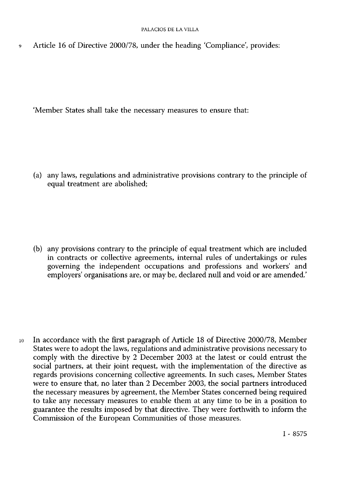Article 16 of Directive 2000/78, under the heading 'Compliance', provides:  $\ddot{9}$ 

'Member States shall take the necessary measures to ensure that:

(a) any laws, regulations and administrative provisions contrary to the principle of equal treatment are abolished;

(b) any provisions contrary to the principle of equal treatment which are included in contracts or collective agreements, internal rules of undertakings or rules governing the independent occupations and professions and workers' and employers' organisations are, or may be, declared null and void or are amended.'

10 In accordance with the first paragraph of Article 18 of Directive 2000/78, Member States were to adopt the laws, regulations and administrative provisions necessary to comply with the directive by 2 December 2003 at the latest or could entrust the social partners, at their joint request, with the implementation of the directive as regards provisions concerning collective agreements. In such cases, Member States were to ensure that, no later than 2 December 2003, the social partners introduced the necessary measures by agreement, the Member States concerned being required to take any necessary measures to enable them at any time to be in a position to guarantee the results imposed by that directive. They were forthwith to inform the Commission of the European Communities of those measures.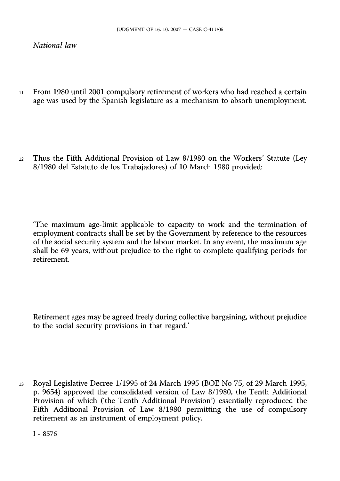*National law* 

1 1 From 1980 until 2001 compulsory retirement of workers who had reached a certain age was used by the Spanish legislature as a mechanism to absorb unemployment

12 Thus the Fifth Additional Provision of Law 8/1980 on the Workers' Statute (Ley 8/1980 del Estatuto de los Trabajadores) of 10 March 1980 provided:

'The maximum age-limit applicable to capacity to work and the termination of employment contracts shall be set by the Government by reference to the resources of the social security system and the labour market. In any event, the maximum age shall be 69 years, without prejudice to the right to complete qualifying periods for retirement

Retirement ages may be agreed freely during collective bargaining, without prejudice to the social security provisions in that regard.'

13 Royal Legislative Decree 1/1995 of 24 March 1995 (BOE No 75, of 29 March 1995, p. 9654) approved the consolidated version of Law 8/1980, the Tenth Additional Provision of which ('the Tenth Additional Provision') essentially reproduced the Fifth Additional Provision of Law 8/1980 permitting the use of compulsory retirement as an instrument of employment policy.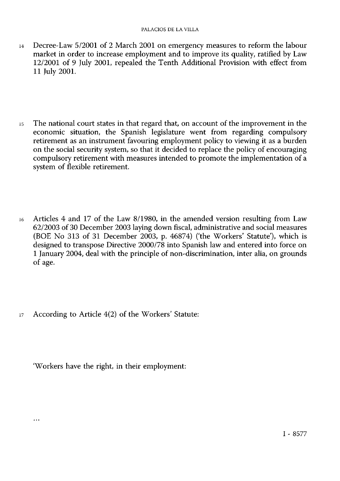- 14 Decree-Law 5/2001 of 2 March 2001 on emergency measures to reform the labour market in order to increase employment and to improve its quality, ratified by Law 12/2001 of 9 July 2001, repealed the Tenth Additional Provision with effect from 11 July 2001.
- 15 The national court states in that regard that, on account of the improvement in the economic situation, the Spanish legislature went from regarding compulsory retirement as an instrument favouring employment policy to viewing it as a burden on the social security system, so that it decided to replace the policy of encouraging compulsory retirement with measures intended to promote the implementation of a system of flexible retirement.
- 16 Articles 4 and 17 of the Law 8/1980, in the amended version resulting from Law 62/2003 of 30 December 2003 laying down fiscal, administrative and social measures (BOE No 313 of 31 December 2003, p. 46874) ('the Workers' Statute), which is designed to transpose Directive 2000/78 into Spanish law and entered into force on 1 January 2004, deal with the principle of non-discrimination, inter alia, on grounds of age.
- 17 According to Article 4(2) of the Workers' Statute:

'Workers have the right, in their employment:

 $\cdots$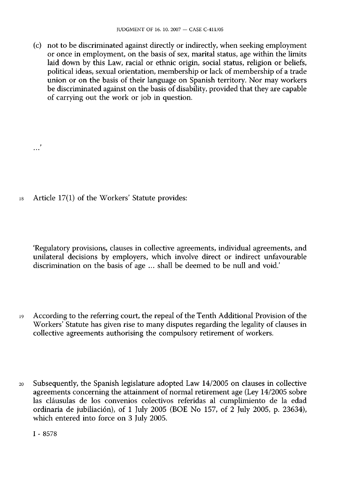(c) not to be discriminated against directly or indirectly, when seeking employment or once in employment, on the basis of sex, marital status, age within the limits laid down by this Law, racial or ethnic origin, social status, religion or beliefs, political ideas, sexual orientation, membership or lack of membership of a trade union or on the basis of their language on Spanish territory. Nor may workers be discriminated against on the basis of disability, provided that they are capable of carrying out the work or job in question.

18 Article 17(1) of the Workers' Statute provides:

'Regulatory provisions, clauses in collective agreements, individual agreements, and unilateral decisions by employers, which involve direct or indirect unfavourable discrimination on the basis of age ... shall be deemed to be null and void.'

- 19 According to the referring court, the repeal of the Tenth Additional Provision of the Workers' Statute has given rise to many disputes regarding the legality of clauses in collective agreements authorising the compulsory retirement of workers.
- 20 Subsequently, the Spanish legislature adopted Law 14/2005 on clauses in collective agreements concerning the attainment of normal retirement age (Ley 14/2005 sobre las cláusulas de los convenios colectivos referidas al cumplimiento de la edad ordinaria de jubiliación), of 1 July 2005 (BOE No 157, of 2 July 2005, p. 23634), which entered into force on 3 July 2005.

I - 8578

**.**..'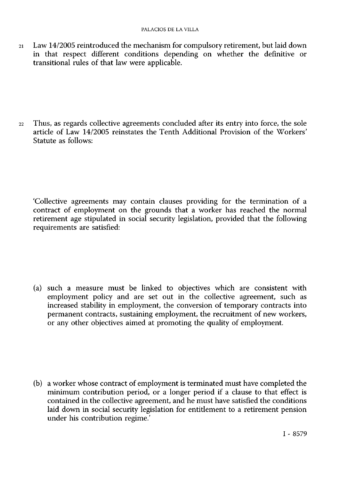21 Law 14/2005 reintroduced the mechanism for compulsory retirement, but laid down in that respect different conditions depending on whether the definitive or transitional rules of that law were applicable.

22 Thus, as regards collective agreements concluded after its entry into force, the sole article of Law 14/2005 reinstates the Tenth Additional Provision of the Workers' Statute as follows:

'Collective agreements may contain clauses providing for the termination of a contract of employment on the grounds that a worker has reached the normal retirement age stipulated in social security legislation, provided that the following requirements are satisfied:

(a) such a measure must be linked to objectives which are consistent with employment policy and are set out in the collective agreement, such as increased stability in employment, the conversion of temporary contracts into permanent contracts, sustaining employment, the recruitment of new workers, or any other objectives aimed at promoting the quality of employment

(b) a worker whose contract of employment is terminated must have completed the minimum contribution period, or a longer period if a clause to that effect is contained in the collective agreement, and he must have satisfied the conditions laid down in social security legislation for entitlement to a retirement pension under his contribution regime.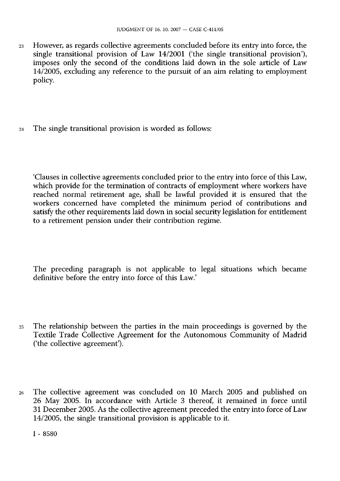- 23 However, as regards collective agreements concluded before its entry into force, the single transitional provision of Law 14/2001 ('the single transitional provision'), imposes only the second of the conditions laid down in the sole article of Law 14/2005, excluding any reference to the pursuit of an aim relating to employment policy.
- 24 The single transitional provision is worded as follows:

'Clauses in collective agreements concluded prior to the entry into force of this Law, which provide for the termination of contracts of employment where workers have reached normal retirement age, shall be lawful provided it is ensured that the workers concerned have completed the minimum period of contributions and satisfy the other requirements laid down in social security legislation for entitlement to a retirement pension under their contribution regime.

The preceding paragraph is not applicable to legal situations which became definitive before the entry into force of this Law.'

- 25 The relationship between the parties in the main proceedings is governed by the Textile Trade Collective Agreement for the Autonomous Community of Madrid ('the collective agreement').
- 26 The collective agreement was concluded on 10 March 2005 and published on 26 May 2005. In accordance with Article 3 thereof, it remained in force until 31 December 2005. As the collective agreement preceded the entry into force of Law 14/2005, the single transitional provision is applicable to it.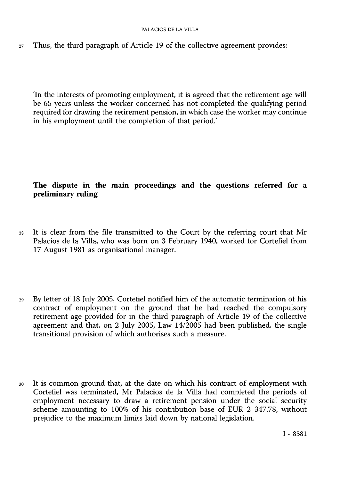$27$  Thus, the third paragraph of Article 19 of the collective agreement provides:

'In the interests of promoting employment, it is agreed that the retirement age will be 65 years unless the worker concerned has not completed the qualifying period required for drawing the retirement pension, in which case the worker may continue in his employment until the completion of that period.'

# **The dispute in the main proceedings and the questions referred for a preliminary ruling**

- 28 It is clear from the file transmitted to the Court by the referring court that Mr Palacios de la Villa, who was born on 3 February 1940, worked for Cortefiel from 17 August 1981 as organisational manager.
- 29 By letter of 18 July 2005, Cortefiel notified him of the automatic termination of his contract of employment on the ground that he had reached the compulsory retirement age provided for in the third paragraph of Article 19 of the collective agreement and that, on 2 July 2005, Law 14/2005 had been published, the single transitional provision of which authorises such a measure.
- 30 It is common ground that, at the date on which his contract of employment with Cortefiel was terminated, Mr Palacios de la Villa had completed the periods of employment necessary to draw a retirement pension under the social security scheme amounting to 100% of his contribution base of EUR 2 347.78, without prejudice to the maximum limits laid down by national legislation.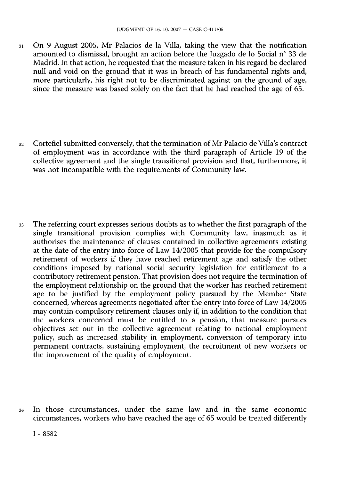- 31 On 9 August 2005, Mr Palacios de la Villa, taking the view that the notification amounted to dismissal, brought an action before the Juzgado de lo Social n° 33 de Madrid. In that action, he requested that the measure taken in his regard be declared null and void on the ground that it was in breach of his fundamental rights and, more particularly, his right not to be discriminated against on the ground of age, since the measure was based solely on the fact that he had reached the age of 65.
- 32 Cortefiel submitted conversely, that the termination of Mr Palacio de Villa's contract of employment was in accordance with the third paragraph of Article 19 of the collective agreement and the single transitional provision and that, furthermore, it was not incompatible with the requirements of Community law.
- 33 The referring court expresses serious doubts as to whether the first paragraph of the single transitional provision complies with Community law, inasmuch as it authorises the maintenance of clauses contained in collective agreements existing at the date of the entry into force of Law 14/2005 that provide for the compulsory retirement of workers if they have reached retirement age and satisfy the other conditions imposed by national social security legislation for entitlement to a contributory retirement pension. That provision does not require the termination of the employment relationship on the ground that the worker has reached retirement age to be justified by the employment policy pursued by the Member State concerned, whereas agreements negotiated after the entry into force of Law 14/2005 may contain compulsory retirement clauses only if, in addition to the condition that the workers concerned must be entitled to a pension, that measure pursues objectives set out in the collective agreement relating to national employment policy, such as increased stability in employment, conversion of temporary into permanent contracts, sustaining employment, the recruitment of new workers or the improvement of the quality of employment.
- 34 In those circumstances, under the same law and in the same economic circumstances, workers who have reached the age of 65 would be treated differently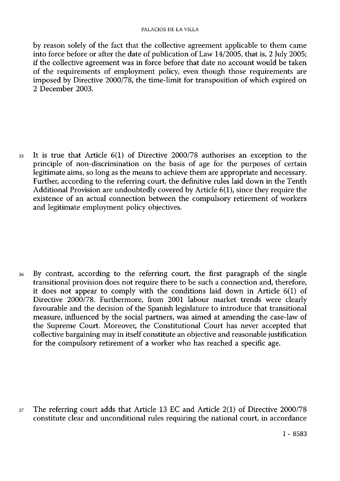#### PALACIOS DE LA VILLA

by reason solely of the fact that the collective agreement applicable to them came into force before or after the date of publication of Law 14/2005, that is, 2 July 2005; if the collective agreement was in force before that date no account would be taken of the requirements of employment policy, even though those requirements are imposed by Directive 2000/78, the time-limit for transposition of which expired on 2 December 2003.

35 It is true that Article 6(1) of Directive 2000/78 authorises an exception to the principle of non-discrimination on the basis of age for the purposes of certain legitimate aims, so long as the means to achieve them are appropriate and necessary. Further, according to the referring court, the definitive rules laid down in the Tenth Additional Provision are undoubtedly covered by Article 6(1), since they require the existence of an actual connection between the compulsory retirement of workers and legitimate employment policy objectives.

36 By contrast, according to the referring court, the first paragraph of the single transitional provision does not require there to be such a connection and, therefore, it does not appear to comply with the conditions laid down in Article 6(1) of Directive 2000/78. Furthermore, from 2001 labour market trends were clearly favourable and the decision of the Spanish legislature to introduce that transitional measure, influenced by the social partners, was aimed at amending the case-law of the Supreme Court. Moreover, the Constitutional Court has never accepted that collective bargaining may in itself constitute an objective and reasonable justification for the compulsory retirement of a worker who has reached a specific age.

37 The referring court adds that Article 13 EC and Article 2(1) of Directive 2000/78 constitute clear and unconditional rules requiring the national court, in accordance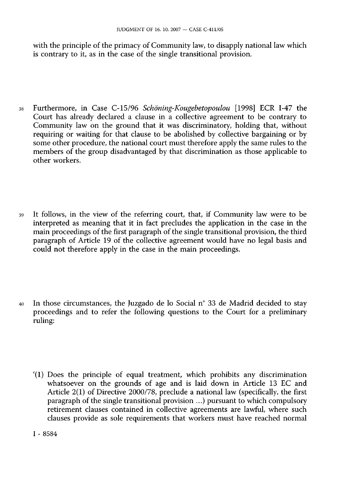with the principle of the primacy of Community law, to disapply national law which is contrary to it, as in the case of the single transitional provision.

- 38 Furthermore, in Case C-15/96 *Schöning-Kougebetopoulou* [1998] ECR I-47 the Court has already declared a clause in a collective agreement to be contrary to Community law on the ground that it was discriminatory, holding that, without requiring or waiting for that clause to be abolished by collective bargaining or by some other procedure, the national court must therefore apply the same rules to the members of the group disadvantaged by that discrimination as those applicable to other workers.
- 39 It follows, in the view of the referring court, that, if Community law were to be interpreted as meaning that it in fact precludes the application in the case in the main proceedings of the first paragraph of the single transitional provision, the third paragraph of Article 19 of the collective agreement would have no legal basis and could not therefore apply in the case in the main proceedings.
- 40 In those circumstances, the Juzgado de lo Social n° 33 de Madrid decided to stay proceedings and to refer the following questions to the Court for a preliminary ruling:
	- '(1) Does the principle of equal treatment, which prohibits any discrimination whatsoever on the grounds of age and is laid down in Article 13 EC and Article 2(1) of Directive 2000/78, preclude a national law (specifically, the first paragraph of the single transitional provision ...) pursuant to which compulsory retirement clauses contained in collective agreements are lawful, where such clauses provide as sole requirements that workers must have reached normal

I - 8584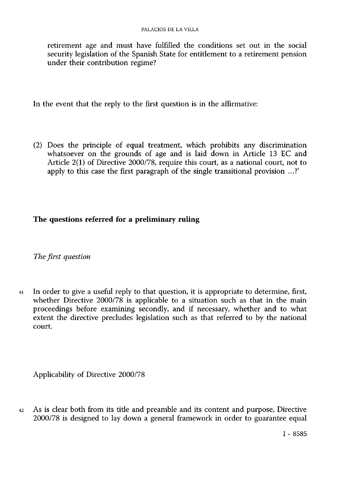retirement age and must have fulfilled the conditions set out in the social security legislation of the Spanish State for entitlement to a retirement pension under their contribution regime?

In the event that the reply to the first question is in the affirmative:

(2) Does the principle of equal treatment, which prohibits any discrimination whatsoever on the grounds of age and is laid down in Article 13 EC and Article 2(1) of Directive 2000/78, require this court, as a national court, not to apply to this case the first paragraph of the single transitional provision ...?'

## **The questions referred for a preliminary ruling**

*The first question* 

41 In order to give a useful reply to that question, it is appropriate to determine, first, whether Directive 2000/78 is applicable to a situation such as that in the main proceedings before examining secondly, and if necessary, whether and to what extent the directive precludes legislation such as that referred to by the national court

Applicability of Directive 2000/78

42 As is clear both from its title and preamble and its content and purpose, Directive 2000/78 is designed to lay down a general framework in order to guarantee equal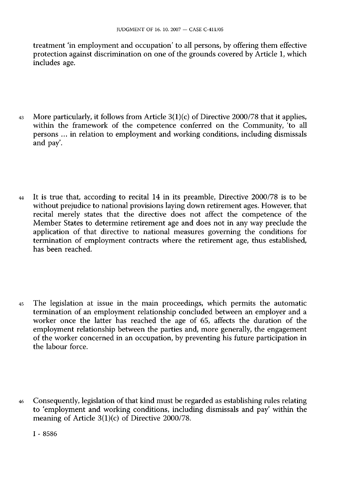treatment 'in employment and occupation' to all persons, by offering them effective protection against discrimination on one of the grounds covered by Article 1, which includes age.

- 43 More particularly, it follows from Article 3(1)(c) of Directive 2000/78 that it applies, within the framework of the competence conferred on the Community, 'to all persons ... in relation to employment and working conditions, including dismissals and pay.
- 44 It is true that, according to recital 14 in its preamble, Directive 2000/78 is to be without prejudice to national provisions laying down retirement ages. However, that recital merely states that the directive does not affect the competence of the Member States to determine retirement age and does not in any way preclude the application of that directive to national measures governing the conditions for termination of employment contracts where the retirement age, thus established, has been reached.
- 45 The legislation at issue in the main proceedings, which permits the automatic termination of an employment relationship concluded between an employer and a worker once the latter has reached the age of 65, affects the duration of the employment relationship between the parties and, more generally, the engagement of the worker concerned in an occupation, by preventing his future participation in the labour force.
- 46 Consequently, legislation of that kind must be regarded as establishing rules relating to 'employment and working conditions, including dismissals and pay within the meaning of Article 3(1)(c) of Directive 2000/78.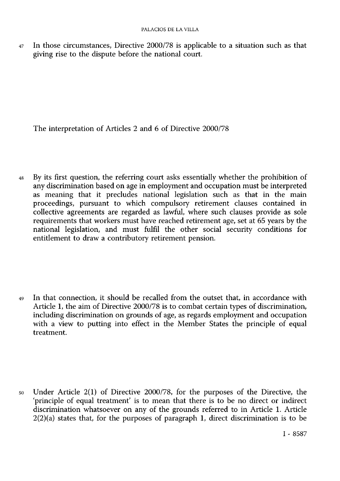47 In those circumstances, Directive 2000/78 is applicable to a situation such as that giving rise to the dispute before the national court.

The interpretation of Articles 2 and 6 of Directive 2000/78

48 By its first question, the referring court asks essentially whether the prohibition of any discrimination based on age in employment and occupation must be interpreted as meaning that it precludes national legislation such as that in the main proceedings, pursuant to which compulsory retirement clauses contained in collective agreements are regarded as lawful, where such clauses provide as sole requirements that workers must have reached retirement age, set at 65 years by the national legislation, and must fulfil the other social security conditions for entitlement to draw a contributory retirement pension.

49 In that connection, it should be recalled from the outset that, in accordance with Article 1, the aim of Directive 2000/78 is to combat certain types of discrimination, including discrimination on grounds of age, as regards employment and occupation with a view to putting into effect in the Member States the principle of equal treatment.

50 Under Article 2(1) of Directive 2000/78, for the purposes of the Directive, the 'principle of equal treatment' is to mean that there is to be no direct or indirect discrimination whatsoever on any of the grounds referred to in Article 1. Article  $2(2)(a)$  states that, for the purposes of paragraph 1, direct discrimination is to be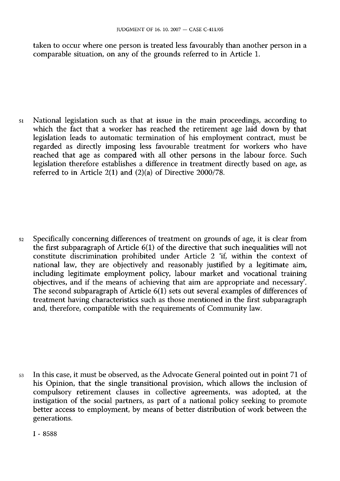taken to occur where one person is treated less favourably than another person in a comparable situation, on any of the grounds referred to in Article 1.

51 National legislation such as that at issue in the main proceedings, according to which the fact that a worker has reached the retirement age laid down by that legislation leads to automatic termination of his employment contract, must be regarded as directly imposing less favourable treatment for workers who have reached that age as compared with all other persons in the labour force. Such legislation therefore establishes a difference in treatment directly based on age, as referred to in Article 2(1) and (2)(a) of Directive 2000/78.

52 Specifically concerning differences of treatment on grounds of age, it is clear from the first subparagraph of Article 6(1) of the directive that such inequalities will not constitute discrimination prohibited under Article 2 'if, within the context of national law, they are objectively and reasonably justified by a legitimate aim, including legitimate employment policy, labour market and vocational training objectives, and if the means of achieving that aim are appropriate and necessary. The second subparagraph of Article 6(1) sets out several examples of differences of treatment having characteristics such as those mentioned in the first subparagraph and, therefore, compatible with the requirements of Community law.

53 In this case, it must be observed, as the Advocate General pointed out in point 71 of his Opinion, that the single transitional provision, which allows the inclusion of compulsory retirement clauses in collective agreements, was adopted, at the instigation of the social partners, as part of a national policy seeking to promote better access to employment, by means of better distribution of work between the generations.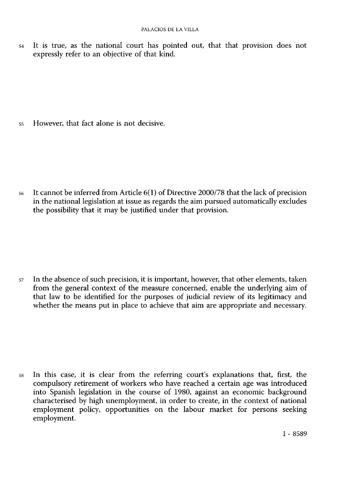54 It is true, as the national court has pointed out, that that provision does not expressly refer to an objective of that kind.

55 However, that fact alone is not decisive.

56 It cannot be inferred from Article 6(1) of Directive 2000/78 that the lack of precision in the national legislation at issue as regards the aim pursued automatically excludes the possibility that it may be justified under that provision.

57 In the absence of such precision, it is important, however, that other elements, taken from the general context of the measure concerned, enable the underlying aim of that law to be identified for the purposes of judicial review of its legitimacy and whether the means put in place to achieve that aim are appropriate and necessary.

58 In this case, it is clear from the referring court's explanations that, first, the compulsory retirement of workers who have reached a certain age was introduced into Spanish legislation in the course of 1980, against an economic background characterised by high unemployment, in order to create, in the context of national employment policy, opportunities on the labour market for persons seeking employment.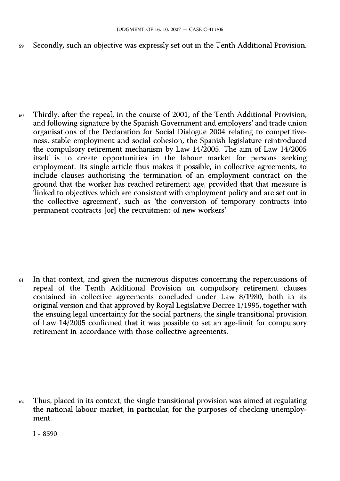59 Secondly, such an objective was expressly set out in the Tenth Additional Provision.

60 Thirdly, after the repeal, in the course of 2001, of the Tenth Additional Provision, and following signature by the Spanish Government and employers' and trade union organisations of the Declaration for Social Dialogue 2004 relating to competitiveness, stable employment and social cohesion, the Spanish legislature reintroduced the compulsory retirement mechanism by Law 14/2005. The aim of Law 14/2005 itself is to create opportunities in the labour market for persons seeking employment. Its single article thus makes it possible, in collective agreements, to include clauses authorising the termination of an employment contract on the ground that the worker has reached retirement age, provided that that measure is linked to objectives which are consistent with employment policy and are set out in the collective agreement', such as 'the conversion of temporary contracts into permanent contracts [or] the recruitment of new workers'.

61 In that context, and given the numerous disputes concerning the repercussions of repeal of the Tenth Additional Provision on compulsory retirement clauses contained in collective agreements concluded under Law 8/1980, both in its original version and that approved by Royal Legislative Decree 1/1995, together with the ensuing legal uncertainty for the social partners, the single transitional provision of Law 14/2005 confirmed that it was possible to set an age-limit for compulsory retirement in accordance with those collective agreements.

 $62$  Thus, placed in its context, the single transitional provision was aimed at regulating the national labour market, in particular, for the purposes of checking unemployment.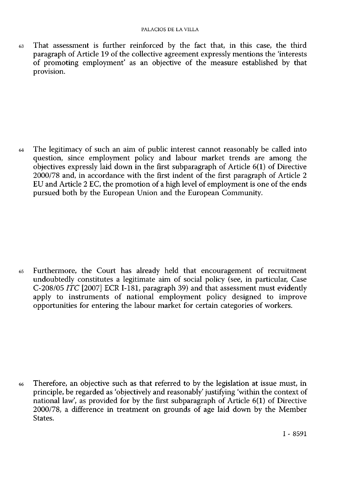63 That assessment is further reinforced by the fact that, in this case, the third paragraph of Article 19 of the collective agreement expressly mentions the 'interests of promoting employment' as an objective of the measure established by that provision.

64 The legitimacy of such an aim of public interest cannot reasonably be called into question, since employment policy and labour market trends are among the objectives expressly laid down in the first subparagraph of Article 6(1) of Directive 2000/78 and, in accordance with the first indent of the first paragraph of Article 2 EU and Article 2 EC, the promotion of a high level of employment is one of the ends pursued both by the European Union and the European Community.

65 Furthermore, the Court has already held that encouragement of recruitment undoubtedly constitutes a legitimate aim of social policy (see, in particular, Case C-208/05 *ITC* [2007] ECR I-181, paragraph 39) and that assessment must evidently apply to instruments of national employment policy designed to improve opportunities for entering the labour market for certain categories of workers.

66 Therefore, an objective such as that referred to by the legislation at issue must, in principle, be regarded as 'objectively and reasonably' justifying 'within the context of national law', as provided for by the first subparagraph of Article 6(1) of Directive 2000/78, a difference in treatment on grounds of age laid down by the Member States.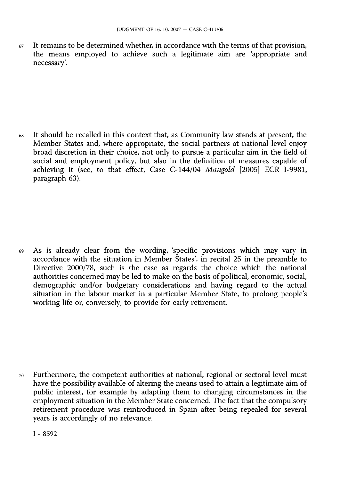$67$  It remains to be determined whether, in accordance with the terms of that provision, the means employed to achieve such a legitimate aim are 'appropriate and necessary'.

68 It should be recalled in this context that, as Community law stands at present, the Member States and, where appropriate, the social partners at national level enjoy broad discretion in their choice, not only to pursue a particular aim in the field of social and employment policy, but also in the definition of measures capable of achieving it (see, to that effect, Case C-144/04 *Mangold* [2005] ECR I-9981, paragraph 63).

69 As is already clear from the wording, 'specific provisions which may vary in accordance with the situation in Member States', in recital 25 in the preamble to Directive 2000/78, such is the case as regards the choice which the national authorities concerned may be led to make on the basis of political, economic, social, demographic and/or budgetary considerations and having regard to the actual situation in the labour market in a particular Member State, to prolong people's working life or, conversely, to provide for early retirement.

70 Furthermore, the competent authorities at national, regional or sectoral level must have the possibility available of altering the means used to attain a legitimate aim of public interest, for example by adapting them to changing circumstances in the employment situation in the Member State concerned. The fact that the compulsory retirement procedure was reintroduced in Spain after being repealed for several years is accordingly of no relevance.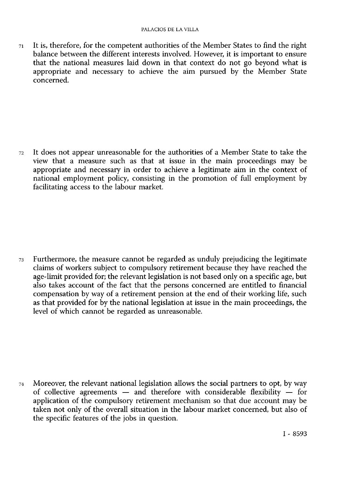71 It is, therefore, for the competent authorities of the Member States to find the right balance between the different interests involved. However, it is important to ensure that the national measures laid down in that context do not go beyond what is appropriate and necessary to achieve the aim pursued by the Member State concerned.

72 It does not appear unreasonable for the authorities of a Member State to take the view that a measure such as that at issue in the main proceedings may be appropriate and necessary in order to achieve a legitimate aim in the context of national employment policy, consisting in the promotion of full employment by facilitating access to the labour market.

73 Furthermore, the measure cannot be regarded as unduly prejudicing the legitimate claims of workers subject to compulsory retirement because they have reached the age-limit provided for; the relevant legislation is not based only on a specific age, but also takes account of the fact that the persons concerned are entitled to financial compensation by way of a retirement pension at the end of their working life, such as that provided for by the national legislation at issue in the main proceedings, the level of which cannot be regarded as unreasonable.

74 Moreover, the relevant national legislation allows the social partners to opt, by way of collective agreements — and therefore with considerable flexibility — for application of the compulsory retirement mechanism so that due account may be taken not only of the overall situation in the labour market concerned, but also of the specific features of the jobs in question.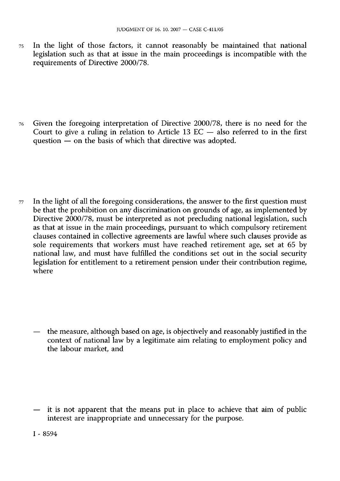75 In the light of those factors, it cannot reasonably be maintained that national legislation such as that at issue in the main proceedings is incompatible with the requirements of Directive 2000/78.

76 Given the foregoing interpretation of Directive 2000/78, there is no need for the Court to give a ruling in relation to Article 13  $EC$  — also referred to in the first question — on the basis of which that directive was adopted.

 $77$  In the light of all the foregoing considerations, the answer to the first question must be that the prohibition on any discrimination on grounds of age, as implemented by Directive 2000/78, must be interpreted as not precluding national legislation, such as that at issue in the main proceedings, pursuant to which compulsory retirement clauses contained in collective agreements are lawful where such clauses provide as sole requirements that workers must have reached retirement age, set at 65 by national law, and must have fulfilled the conditions set out in the social security legislation for entitlement to a retirement pension under their contribution regime, where

— the measure, although based on age, is objectively and reasonably justified in the context of national law by a legitimate aim relating to employment policy and the labour market, and

— it is not apparent that the means put in place to achieve that aim of public interest are inappropriate and unnecessary for the purpose.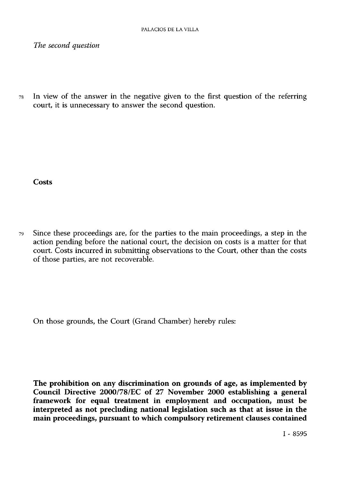*The second question* 

78 In view of the answer in the negative given to the first question of the referring court, it is unnecessary to answer the second question.

**Costs** 

79 Since these proceedings are, for the parties to the main proceedings, a step in the action pending before the national court, the decision on costs is a matter for that court. Costs incurred in submitting observations to the Court, other than the costs of those parties, are not recoverable.

On those grounds, the Court (Grand Chamber) hereby rules:

**The prohibition on any discrimination on grounds of age, as implemented by Council Directive 2000/78/EC of 27 November 2000 establishing a general framework for equal treatment in employment and occupation, must be interpreted as not precluding national legislation such as that at issue in the main proceedings, pursuant to which compulsory retirement clauses contained**